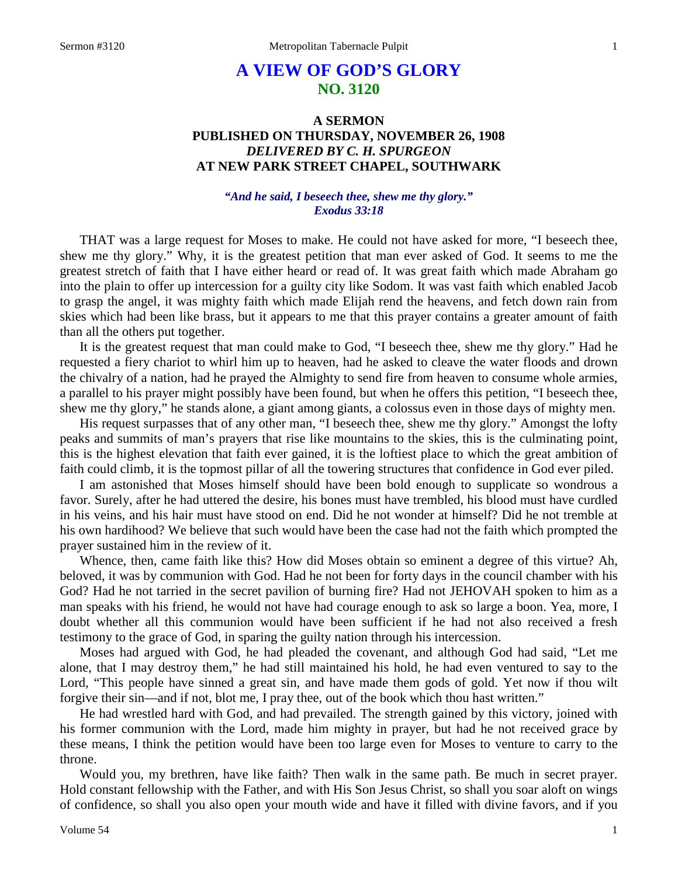# **A VIEW OF GOD'S GLORY NO. 3120**

## **A SERMON PUBLISHED ON THURSDAY, NOVEMBER 26, 1908** *DELIVERED BY C. H. SPURGEON* **AT NEW PARK STREET CHAPEL, SOUTHWARK**

## *"And he said, I beseech thee, shew me thy glory." Exodus 33:18*

THAT was a large request for Moses to make. He could not have asked for more, "I beseech thee, shew me thy glory." Why, it is the greatest petition that man ever asked of God. It seems to me the greatest stretch of faith that I have either heard or read of. It was great faith which made Abraham go into the plain to offer up intercession for a guilty city like Sodom. It was vast faith which enabled Jacob to grasp the angel, it was mighty faith which made Elijah rend the heavens, and fetch down rain from skies which had been like brass, but it appears to me that this prayer contains a greater amount of faith than all the others put together.

It is the greatest request that man could make to God, "I beseech thee, shew me thy glory." Had he requested a fiery chariot to whirl him up to heaven, had he asked to cleave the water floods and drown the chivalry of a nation, had he prayed the Almighty to send fire from heaven to consume whole armies, a parallel to his prayer might possibly have been found, but when he offers this petition, "I beseech thee, shew me thy glory," he stands alone, a giant among giants, a colossus even in those days of mighty men.

His request surpasses that of any other man, "I beseech thee, shew me thy glory." Amongst the lofty peaks and summits of man's prayers that rise like mountains to the skies, this is the culminating point, this is the highest elevation that faith ever gained, it is the loftiest place to which the great ambition of faith could climb, it is the topmost pillar of all the towering structures that confidence in God ever piled.

I am astonished that Moses himself should have been bold enough to supplicate so wondrous a favor. Surely, after he had uttered the desire, his bones must have trembled, his blood must have curdled in his veins, and his hair must have stood on end. Did he not wonder at himself? Did he not tremble at his own hardihood? We believe that such would have been the case had not the faith which prompted the prayer sustained him in the review of it.

Whence, then, came faith like this? How did Moses obtain so eminent a degree of this virtue? Ah, beloved, it was by communion with God. Had he not been for forty days in the council chamber with his God? Had he not tarried in the secret pavilion of burning fire? Had not JEHOVAH spoken to him as a man speaks with his friend, he would not have had courage enough to ask so large a boon. Yea, more, I doubt whether all this communion would have been sufficient if he had not also received a fresh testimony to the grace of God, in sparing the guilty nation through his intercession.

Moses had argued with God, he had pleaded the covenant, and although God had said, "Let me alone, that I may destroy them," he had still maintained his hold, he had even ventured to say to the Lord, "This people have sinned a great sin, and have made them gods of gold. Yet now if thou wilt forgive their sin—and if not, blot me, I pray thee, out of the book which thou hast written."

He had wrestled hard with God, and had prevailed. The strength gained by this victory, joined with his former communion with the Lord, made him mighty in prayer, but had he not received grace by these means, I think the petition would have been too large even for Moses to venture to carry to the throne.

Would you, my brethren, have like faith? Then walk in the same path. Be much in secret prayer. Hold constant fellowship with the Father, and with His Son Jesus Christ, so shall you soar aloft on wings of confidence, so shall you also open your mouth wide and have it filled with divine favors, and if you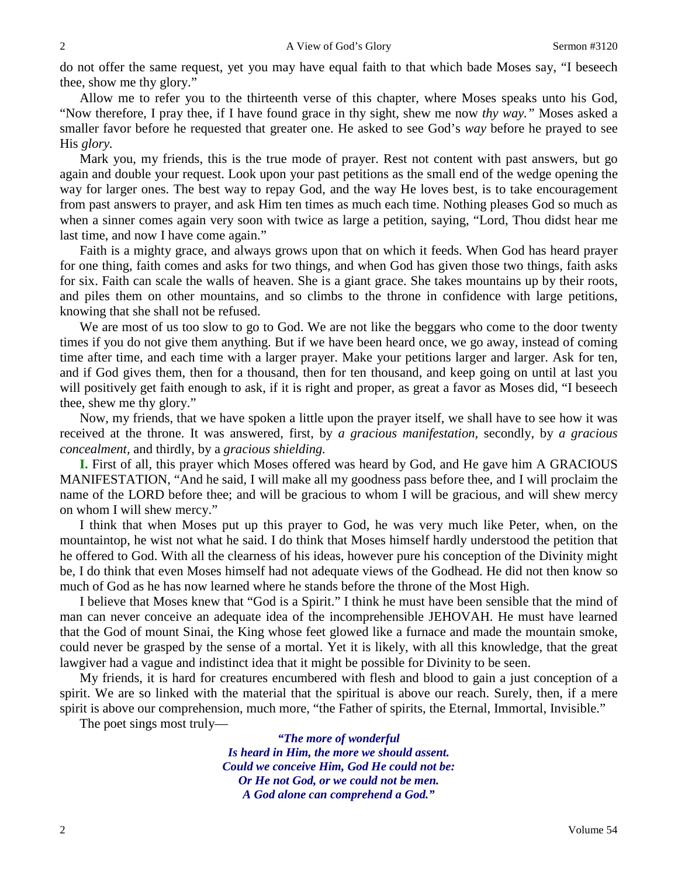do not offer the same request, yet you may have equal faith to that which bade Moses say, "I beseech thee, show me thy glory."

Allow me to refer you to the thirteenth verse of this chapter, where Moses speaks unto his God, "Now therefore, I pray thee, if I have found grace in thy sight, shew me now *thy way."* Moses asked a smaller favor before he requested that greater one. He asked to see God's *way* before he prayed to see His *glory.* 

Mark you, my friends, this is the true mode of prayer. Rest not content with past answers, but go again and double your request. Look upon your past petitions as the small end of the wedge opening the way for larger ones. The best way to repay God, and the way He loves best, is to take encouragement from past answers to prayer, and ask Him ten times as much each time. Nothing pleases God so much as when a sinner comes again very soon with twice as large a petition, saying, "Lord, Thou didst hear me last time, and now I have come again."

Faith is a mighty grace, and always grows upon that on which it feeds. When God has heard prayer for one thing, faith comes and asks for two things, and when God has given those two things, faith asks for six. Faith can scale the walls of heaven. She is a giant grace. She takes mountains up by their roots, and piles them on other mountains, and so climbs to the throne in confidence with large petitions, knowing that she shall not be refused.

We are most of us too slow to go to God. We are not like the beggars who come to the door twenty times if you do not give them anything. But if we have been heard once, we go away, instead of coming time after time, and each time with a larger prayer. Make your petitions larger and larger. Ask for ten, and if God gives them, then for a thousand, then for ten thousand, and keep going on until at last you will positively get faith enough to ask, if it is right and proper, as great a favor as Moses did, "I beseech thee, shew me thy glory."

Now, my friends, that we have spoken a little upon the prayer itself, we shall have to see how it was received at the throne. It was answered, first, by *a gracious manifestation,* secondly, by *a gracious concealment,* and thirdly, by a *gracious shielding.* 

**I.** First of all, this prayer which Moses offered was heard by God, and He gave him A GRACIOUS MANIFESTATION, "And he said, I will make all my goodness pass before thee, and I will proclaim the name of the LORD before thee; and will be gracious to whom I will be gracious, and will shew mercy on whom I will shew mercy."

I think that when Moses put up this prayer to God, he was very much like Peter, when, on the mountaintop, he wist not what he said. I do think that Moses himself hardly understood the petition that he offered to God. With all the clearness of his ideas, however pure his conception of the Divinity might be, I do think that even Moses himself had not adequate views of the Godhead. He did not then know so much of God as he has now learned where he stands before the throne of the Most High.

I believe that Moses knew that "God is a Spirit." I think he must have been sensible that the mind of man can never conceive an adequate idea of the incomprehensible JEHOVAH. He must have learned that the God of mount Sinai, the King whose feet glowed like a furnace and made the mountain smoke, could never be grasped by the sense of a mortal. Yet it is likely, with all this knowledge, that the great lawgiver had a vague and indistinct idea that it might be possible for Divinity to be seen.

My friends, it is hard for creatures encumbered with flesh and blood to gain a just conception of a spirit. We are so linked with the material that the spiritual is above our reach. Surely, then, if a mere spirit is above our comprehension, much more, "the Father of spirits, the Eternal, Immortal, Invisible."

The poet sings most truly—

*"The more of wonderful Is heard in Him, the more we should assent. Could we conceive Him, God He could not be: Or He not God, or we could not be men. A God alone can comprehend a God."*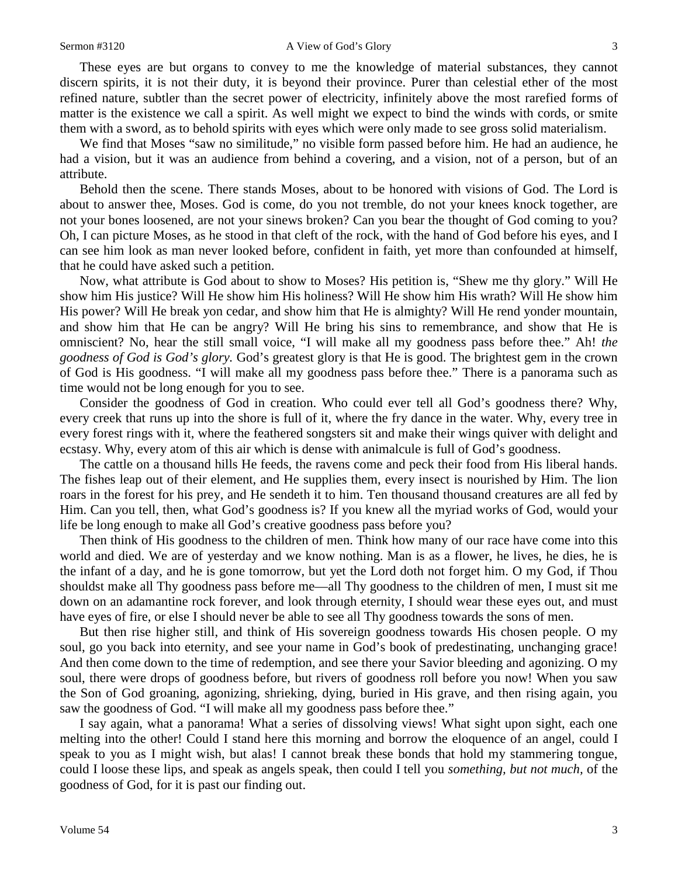#### Sermon #3120 A View of God's Glory 3

These eyes are but organs to convey to me the knowledge of material substances, they cannot discern spirits, it is not their duty, it is beyond their province. Purer than celestial ether of the most refined nature, subtler than the secret power of electricity, infinitely above the most rarefied forms of matter is the existence we call a spirit. As well might we expect to bind the winds with cords, or smite them with a sword, as to behold spirits with eyes which were only made to see gross solid materialism.

We find that Moses "saw no similitude," no visible form passed before him. He had an audience, he had a vision, but it was an audience from behind a covering, and a vision, not of a person, but of an attribute.

Behold then the scene. There stands Moses, about to be honored with visions of God. The Lord is about to answer thee, Moses. God is come, do you not tremble, do not your knees knock together, are not your bones loosened, are not your sinews broken? Can you bear the thought of God coming to you? Oh, I can picture Moses, as he stood in that cleft of the rock, with the hand of God before his eyes, and I can see him look as man never looked before, confident in faith, yet more than confounded at himself, that he could have asked such a petition.

Now, what attribute is God about to show to Moses? His petition is, "Shew me thy glory." Will He show him His justice? Will He show him His holiness? Will He show him His wrath? Will He show him His power? Will He break yon cedar, and show him that He is almighty? Will He rend yonder mountain, and show him that He can be angry? Will He bring his sins to remembrance, and show that He is omniscient? No, hear the still small voice, "I will make all my goodness pass before thee." Ah! *the goodness of God is God's glory.* God's greatest glory is that He is good. The brightest gem in the crown of God is His goodness. "I will make all my goodness pass before thee." There is a panorama such as time would not be long enough for you to see.

Consider the goodness of God in creation. Who could ever tell all God's goodness there? Why, every creek that runs up into the shore is full of it, where the fry dance in the water. Why, every tree in every forest rings with it, where the feathered songsters sit and make their wings quiver with delight and ecstasy. Why, every atom of this air which is dense with animalcule is full of God's goodness.

The cattle on a thousand hills He feeds, the ravens come and peck their food from His liberal hands. The fishes leap out of their element, and He supplies them, every insect is nourished by Him. The lion roars in the forest for his prey, and He sendeth it to him. Ten thousand thousand creatures are all fed by Him. Can you tell, then, what God's goodness is? If you knew all the myriad works of God, would your life be long enough to make all God's creative goodness pass before you?

Then think of His goodness to the children of men. Think how many of our race have come into this world and died. We are of yesterday and we know nothing. Man is as a flower, he lives, he dies, he is the infant of a day, and he is gone tomorrow, but yet the Lord doth not forget him. O my God, if Thou shouldst make all Thy goodness pass before me—all Thy goodness to the children of men, I must sit me down on an adamantine rock forever, and look through eternity, I should wear these eyes out, and must have eyes of fire, or else I should never be able to see all Thy goodness towards the sons of men.

But then rise higher still, and think of His sovereign goodness towards His chosen people. O my soul, go you back into eternity, and see your name in God's book of predestinating, unchanging grace! And then come down to the time of redemption, and see there your Savior bleeding and agonizing. O my soul, there were drops of goodness before, but rivers of goodness roll before you now! When you saw the Son of God groaning, agonizing, shrieking, dying, buried in His grave, and then rising again, you saw the goodness of God. "I will make all my goodness pass before thee."

I say again, what a panorama! What a series of dissolving views! What sight upon sight, each one melting into the other! Could I stand here this morning and borrow the eloquence of an angel, could I speak to you as I might wish, but alas! I cannot break these bonds that hold my stammering tongue, could I loose these lips, and speak as angels speak, then could I tell you *something, but not much,* of the goodness of God, for it is past our finding out.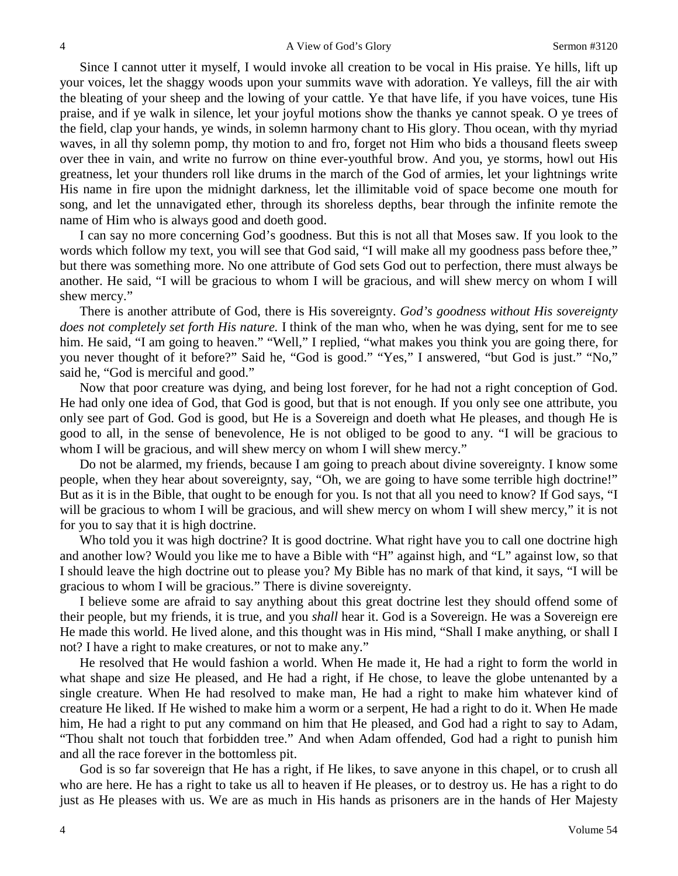Since I cannot utter it myself, I would invoke all creation to be vocal in His praise. Ye hills, lift up your voices, let the shaggy woods upon your summits wave with adoration. Ye valleys, fill the air with the bleating of your sheep and the lowing of your cattle. Ye that have life, if you have voices, tune His praise, and if ye walk in silence, let your joyful motions show the thanks ye cannot speak. O ye trees of the field, clap your hands, ye winds, in solemn harmony chant to His glory. Thou ocean, with thy myriad waves, in all thy solemn pomp, thy motion to and fro, forget not Him who bids a thousand fleets sweep over thee in vain, and write no furrow on thine ever-youthful brow. And you, ye storms, howl out His greatness, let your thunders roll like drums in the march of the God of armies, let your lightnings write His name in fire upon the midnight darkness, let the illimitable void of space become one mouth for song, and let the unnavigated ether, through its shoreless depths, bear through the infinite remote the name of Him who is always good and doeth good.

I can say no more concerning God's goodness. But this is not all that Moses saw. If you look to the words which follow my text, you will see that God said, "I will make all my goodness pass before thee," but there was something more. No one attribute of God sets God out to perfection, there must always be another. He said, "I will be gracious to whom I will be gracious, and will shew mercy on whom I will shew mercy."

There is another attribute of God, there is His sovereignty. *God's goodness without His sovereignty does not completely set forth His nature.* I think of the man who, when he was dying, sent for me to see him. He said, "I am going to heaven." "Well," I replied, "what makes you think you are going there, for you never thought of it before?" Said he, "God is good." "Yes," I answered, "but God is just." "No," said he, "God is merciful and good."

Now that poor creature was dying, and being lost forever, for he had not a right conception of God. He had only one idea of God, that God is good, but that is not enough. If you only see one attribute, you only see part of God. God is good, but He is a Sovereign and doeth what He pleases, and though He is good to all, in the sense of benevolence, He is not obliged to be good to any. "I will be gracious to whom I will be gracious, and will shew mercy on whom I will shew mercy."

Do not be alarmed, my friends, because I am going to preach about divine sovereignty. I know some people, when they hear about sovereignty, say, "Oh, we are going to have some terrible high doctrine!" But as it is in the Bible, that ought to be enough for you. Is not that all you need to know? If God says, "I will be gracious to whom I will be gracious, and will shew mercy on whom I will shew mercy," it is not for you to say that it is high doctrine.

Who told you it was high doctrine? It is good doctrine. What right have you to call one doctrine high and another low? Would you like me to have a Bible with "H" against high, and "L" against low, so that I should leave the high doctrine out to please you? My Bible has no mark of that kind, it says, "I will be gracious to whom I will be gracious." There is divine sovereignty.

I believe some are afraid to say anything about this great doctrine lest they should offend some of their people, but my friends, it is true, and you *shall* hear it. God is a Sovereign. He was a Sovereign ere He made this world. He lived alone, and this thought was in His mind, "Shall I make anything, or shall I not? I have a right to make creatures, or not to make any."

He resolved that He would fashion a world. When He made it, He had a right to form the world in what shape and size He pleased, and He had a right, if He chose, to leave the globe untenanted by a single creature. When He had resolved to make man, He had a right to make him whatever kind of creature He liked. If He wished to make him a worm or a serpent, He had a right to do it. When He made him, He had a right to put any command on him that He pleased, and God had a right to say to Adam, "Thou shalt not touch that forbidden tree." And when Adam offended, God had a right to punish him and all the race forever in the bottomless pit.

God is so far sovereign that He has a right, if He likes, to save anyone in this chapel, or to crush all who are here. He has a right to take us all to heaven if He pleases, or to destroy us. He has a right to do just as He pleases with us. We are as much in His hands as prisoners are in the hands of Her Majesty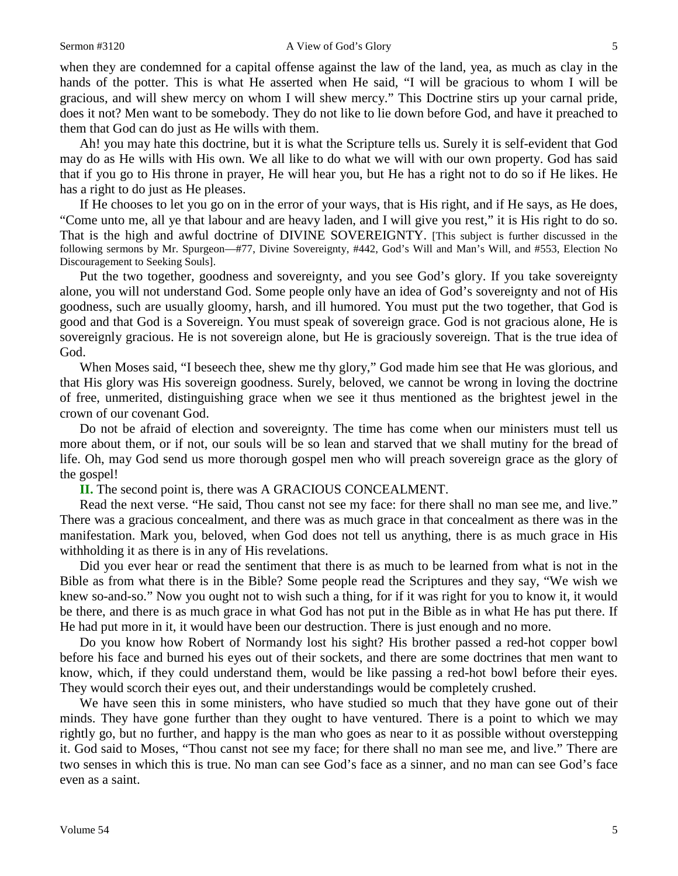when they are condemned for a capital offense against the law of the land, yea, as much as clay in the hands of the potter. This is what He asserted when He said, "I will be gracious to whom I will be gracious, and will shew mercy on whom I will shew mercy." This Doctrine stirs up your carnal pride, does it not? Men want to be somebody. They do not like to lie down before God, and have it preached to them that God can do just as He wills with them.

Ah! you may hate this doctrine, but it is what the Scripture tells us. Surely it is self-evident that God may do as He wills with His own. We all like to do what we will with our own property. God has said that if you go to His throne in prayer, He will hear you, but He has a right not to do so if He likes. He has a right to do just as He pleases.

If He chooses to let you go on in the error of your ways, that is His right, and if He says, as He does, "Come unto me, all ye that labour and are heavy laden, and I will give you rest," it is His right to do so. That is the high and awful doctrine of DIVINE SOVEREIGNTY. [This subject is further discussed in the following sermons by Mr. Spurgeon—#77, Divine Sovereignty, #442, God's Will and Man's Will, and #553, Election No Discouragement to Seeking Souls].

Put the two together, goodness and sovereignty, and you see God's glory. If you take sovereignty alone, you will not understand God. Some people only have an idea of God's sovereignty and not of His goodness, such are usually gloomy, harsh, and ill humored. You must put the two together, that God is good and that God is a Sovereign. You must speak of sovereign grace. God is not gracious alone, He is sovereignly gracious. He is not sovereign alone, but He is graciously sovereign. That is the true idea of God.

When Moses said, "I beseech thee, shew me thy glory," God made him see that He was glorious, and that His glory was His sovereign goodness. Surely, beloved, we cannot be wrong in loving the doctrine of free, unmerited, distinguishing grace when we see it thus mentioned as the brightest jewel in the crown of our covenant God.

Do not be afraid of election and sovereignty. The time has come when our ministers must tell us more about them, or if not, our souls will be so lean and starved that we shall mutiny for the bread of life. Oh, may God send us more thorough gospel men who will preach sovereign grace as the glory of the gospel!

**II.** The second point is, there was A GRACIOUS CONCEALMENT.

Read the next verse. "He said, Thou canst not see my face: for there shall no man see me, and live." There was a gracious concealment, and there was as much grace in that concealment as there was in the manifestation. Mark you, beloved, when God does not tell us anything, there is as much grace in His withholding it as there is in any of His revelations.

Did you ever hear or read the sentiment that there is as much to be learned from what is not in the Bible as from what there is in the Bible? Some people read the Scriptures and they say, "We wish we knew so-and-so." Now you ought not to wish such a thing, for if it was right for you to know it, it would be there, and there is as much grace in what God has not put in the Bible as in what He has put there. If He had put more in it, it would have been our destruction. There is just enough and no more.

Do you know how Robert of Normandy lost his sight? His brother passed a red-hot copper bowl before his face and burned his eyes out of their sockets, and there are some doctrines that men want to know, which, if they could understand them, would be like passing a red-hot bowl before their eyes. They would scorch their eyes out, and their understandings would be completely crushed.

We have seen this in some ministers, who have studied so much that they have gone out of their minds. They have gone further than they ought to have ventured. There is a point to which we may rightly go, but no further, and happy is the man who goes as near to it as possible without overstepping it. God said to Moses, "Thou canst not see my face; for there shall no man see me, and live." There are two senses in which this is true. No man can see God's face as a sinner, and no man can see God's face even as a saint.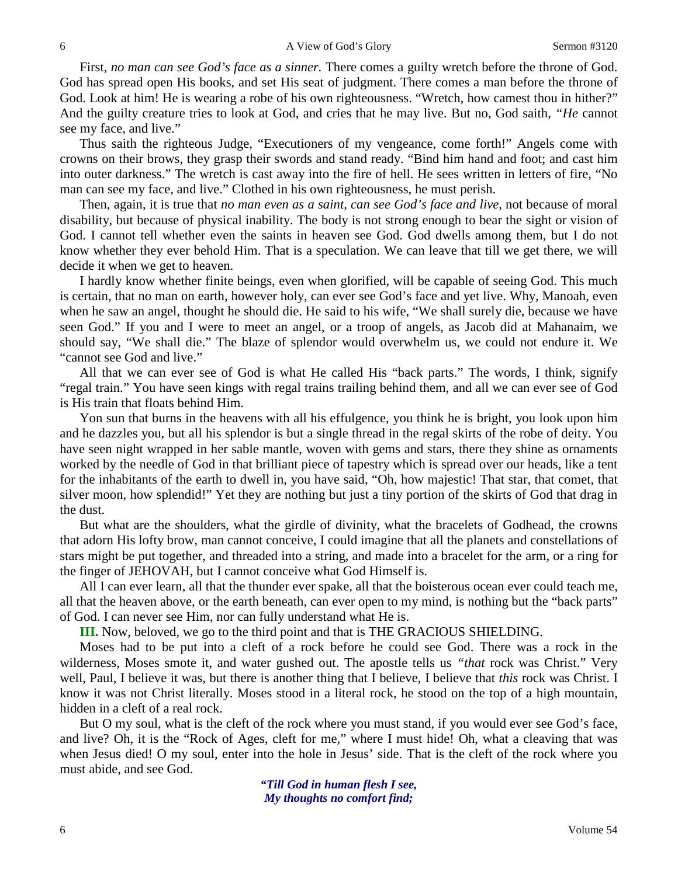First, *no man can see God's face as a sinner.* There comes a guilty wretch before the throne of God. God has spread open His books, and set His seat of judgment. There comes a man before the throne of God. Look at him! He is wearing a robe of his own righteousness. "Wretch, how camest thou in hither?" And the guilty creature tries to look at God, and cries that he may live. But no, God saith, *"He* cannot see my face, and live."

Thus saith the righteous Judge, "Executioners of my vengeance, come forth!" Angels come with crowns on their brows, they grasp their swords and stand ready. "Bind him hand and foot; and cast him into outer darkness." The wretch is cast away into the fire of hell. He sees written in letters of fire, "No man can see my face, and live." Clothed in his own righteousness, he must perish.

Then, again, it is true that *no man even as a saint, can see God's face and live,* not because of moral disability, but because of physical inability. The body is not strong enough to bear the sight or vision of God. I cannot tell whether even the saints in heaven see God. God dwells among them, but I do not know whether they ever behold Him. That is a speculation. We can leave that till we get there, we will decide it when we get to heaven.

I hardly know whether finite beings, even when glorified, will be capable of seeing God. This much is certain, that no man on earth, however holy, can ever see God's face and yet live. Why, Manoah, even when he saw an angel, thought he should die. He said to his wife, "We shall surely die, because we have seen God." If you and I were to meet an angel, or a troop of angels, as Jacob did at Mahanaim, we should say, "We shall die." The blaze of splendor would overwhelm us, we could not endure it. We "cannot see God and live."

All that we can ever see of God is what He called His "back parts." The words, I think, signify "regal train." You have seen kings with regal trains trailing behind them, and all we can ever see of God is His train that floats behind Him.

Yon sun that burns in the heavens with all his effulgence, you think he is bright, you look upon him and he dazzles you, but all his splendor is but a single thread in the regal skirts of the robe of deity. You have seen night wrapped in her sable mantle, woven with gems and stars, there they shine as ornaments worked by the needle of God in that brilliant piece of tapestry which is spread over our heads, like a tent for the inhabitants of the earth to dwell in, you have said, "Oh, how majestic! That star, that comet, that silver moon, how splendid!" Yet they are nothing but just a tiny portion of the skirts of God that drag in the dust.

But what are the shoulders, what the girdle of divinity, what the bracelets of Godhead, the crowns that adorn His lofty brow, man cannot conceive, I could imagine that all the planets and constellations of stars might be put together, and threaded into a string, and made into a bracelet for the arm, or a ring for the finger of JEHOVAH, but I cannot conceive what God Himself is.

All I can ever learn, all that the thunder ever spake, all that the boisterous ocean ever could teach me, all that the heaven above, or the earth beneath, can ever open to my mind, is nothing but the "back parts" of God. I can never see Him, nor can fully understand what He is.

**III.** Now, beloved, we go to the third point and that is THE GRACIOUS SHIELDING.

Moses had to be put into a cleft of a rock before he could see God. There was a rock in the wilderness, Moses smote it, and water gushed out. The apostle tells us *"that* rock was Christ." Very well, Paul, I believe it was, but there is another thing that I believe, I believe that *this* rock was Christ. I know it was not Christ literally. Moses stood in a literal rock, he stood on the top of a high mountain, hidden in a cleft of a real rock.

But O my soul, what is the cleft of the rock where you must stand, if you would ever see God's face, and live? Oh, it is the "Rock of Ages, cleft for me," where I must hide! Oh, what a cleaving that was when Jesus died! O my soul, enter into the hole in Jesus' side. That is the cleft of the rock where you must abide, and see God.

> *"Till God in human flesh I see, My thoughts no comfort find;*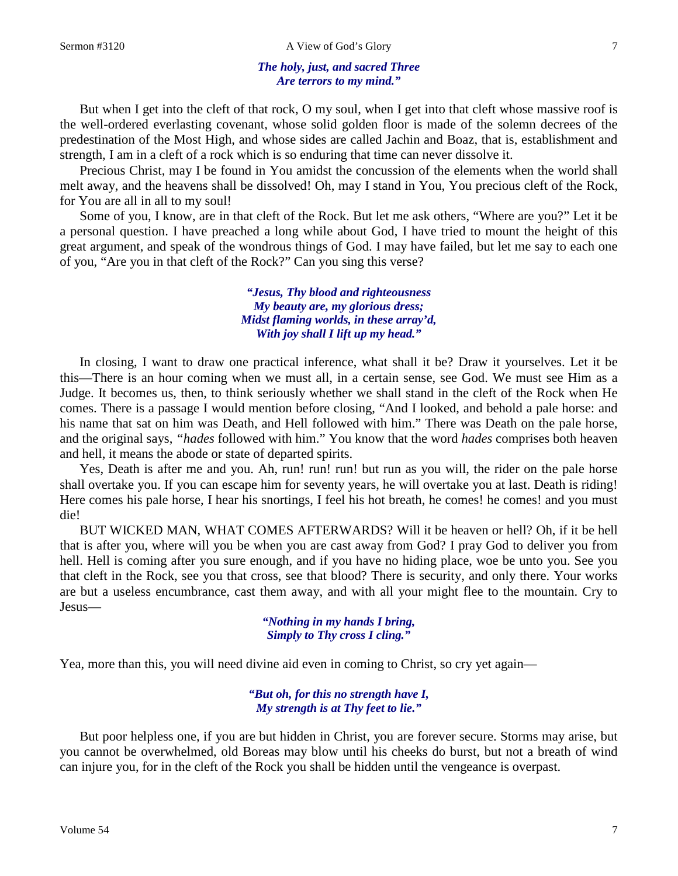#### *The holy, just, and sacred Three Are terrors to my mind."*

But when I get into the cleft of that rock, O my soul, when I get into that cleft whose massive roof is the well-ordered everlasting covenant, whose solid golden floor is made of the solemn decrees of the predestination of the Most High, and whose sides are called Jachin and Boaz, that is, establishment and strength, I am in a cleft of a rock which is so enduring that time can never dissolve it.

Precious Christ, may I be found in You amidst the concussion of the elements when the world shall melt away, and the heavens shall be dissolved! Oh, may I stand in You, You precious cleft of the Rock, for You are all in all to my soul!

Some of you, I know, are in that cleft of the Rock. But let me ask others, "Where are you?" Let it be a personal question. I have preached a long while about God, I have tried to mount the height of this great argument, and speak of the wondrous things of God. I may have failed, but let me say to each one of you, "Are you in that cleft of the Rock?" Can you sing this verse?

> *"Jesus, Thy blood and righteousness My beauty are, my glorious dress; Midst flaming worlds, in these array'd, With joy shall I lift up my head."*

In closing, I want to draw one practical inference, what shall it be? Draw it yourselves. Let it be this—There is an hour coming when we must all, in a certain sense, see God. We must see Him as a Judge. It becomes us, then, to think seriously whether we shall stand in the cleft of the Rock when He comes. There is a passage I would mention before closing, "And I looked, and behold a pale horse: and his name that sat on him was Death, and Hell followed with him." There was Death on the pale horse, and the original says, *"hades* followed with him." You know that the word *hades* comprises both heaven and hell, it means the abode or state of departed spirits.

Yes, Death is after me and you. Ah, run! run! run! but run as you will, the rider on the pale horse shall overtake you. If you can escape him for seventy years, he will overtake you at last. Death is riding! Here comes his pale horse, I hear his snortings, I feel his hot breath, he comes! he comes! and you must die!

BUT WICKED MAN, WHAT COMES AFTERWARDS? Will it be heaven or hell? Oh, if it be hell that is after you, where will you be when you are cast away from God? I pray God to deliver you from hell. Hell is coming after you sure enough, and if you have no hiding place, woe be unto you. See you that cleft in the Rock, see you that cross, see that blood? There is security, and only there. Your works are but a useless encumbrance, cast them away, and with all your might flee to the mountain. Cry to Jesus—

> *"Nothing in my hands I bring, Simply to Thy cross I cling."*

Yea, more than this, you will need divine aid even in coming to Christ, so cry yet again—

*"But oh, for this no strength have I, My strength is at Thy feet to lie."*

But poor helpless one, if you are but hidden in Christ, you are forever secure. Storms may arise, but you cannot be overwhelmed, old Boreas may blow until his cheeks do burst, but not a breath of wind can injure you, for in the cleft of the Rock you shall be hidden until the vengeance is overpast.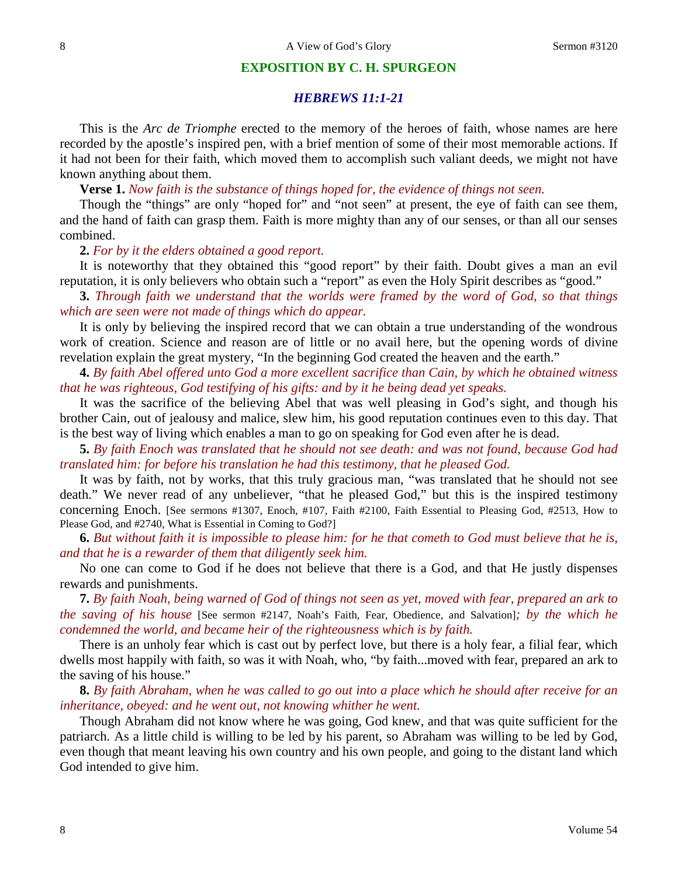### **EXPOSITION BY C. H. SPURGEON**

## *HEBREWS 11:1-21*

This is the *Arc de Triomphe* erected to the memory of the heroes of faith, whose names are here recorded by the apostle's inspired pen, with a brief mention of some of their most memorable actions. If it had not been for their faith, which moved them to accomplish such valiant deeds, we might not have known anything about them.

**Verse 1.** *Now faith is the substance of things hoped for, the evidence of things not seen.*

Though the "things" are only "hoped for" and "not seen" at present, the eye of faith can see them, and the hand of faith can grasp them. Faith is more mighty than any of our senses, or than all our senses combined.

#### **2.** *For by it the elders obtained a good report.*

It is noteworthy that they obtained this "good report" by their faith. Doubt gives a man an evil reputation, it is only believers who obtain such a "report" as even the Holy Spirit describes as "good."

**3.** *Through faith we understand that the worlds were framed by the word of God, so that things which are seen were not made of things which do appear.*

It is only by believing the inspired record that we can obtain a true understanding of the wondrous work of creation. Science and reason are of little or no avail here, but the opening words of divine revelation explain the great mystery, "In the beginning God created the heaven and the earth."

**4.** *By faith Abel offered unto God a more excellent sacrifice than Cain, by which he obtained witness that he was righteous, God testifying of his gifts: and by it he being dead yet speaks.*

It was the sacrifice of the believing Abel that was well pleasing in God's sight, and though his brother Cain, out of jealousy and malice, slew him, his good reputation continues even to this day. That is the best way of living which enables a man to go on speaking for God even after he is dead.

**5.** *By faith Enoch was translated that he should not see death: and was not found, because God had translated him: for before his translation he had this testimony, that he pleased God.*

It was by faith, not by works, that this truly gracious man, "was translated that he should not see death." We never read of any unbeliever, "that he pleased God," but this is the inspired testimony concerning Enoch. [See sermons #1307, Enoch, #107, Faith #2100, Faith Essential to Pleasing God, #2513, How to Please God, and #2740, What is Essential in Coming to God?]

**6.** *But without faith it is impossible to please him: for he that cometh to God must believe that he is, and that he is a rewarder of them that diligently seek him.*

No one can come to God if he does not believe that there is a God, and that He justly dispenses rewards and punishments.

**7.** *By faith Noah, being warned of God of things not seen as yet, moved with fear, prepared an ark to the saving of his house* [See sermon #2147, Noah's Faith, Fear, Obedience, and Salvation]*; by the which he condemned the world, and became heir of the righteousness which is by faith.*

There is an unholy fear which is cast out by perfect love, but there is a holy fear, a filial fear, which dwells most happily with faith, so was it with Noah, who, "by faith...moved with fear, prepared an ark to the saving of his house."

**8.** *By faith Abraham, when he was called to go out into a place which he should after receive for an inheritance, obeyed: and he went out, not knowing whither he went.*

Though Abraham did not know where he was going, God knew, and that was quite sufficient for the patriarch. As a little child is willing to be led by his parent, so Abraham was willing to be led by God, even though that meant leaving his own country and his own people, and going to the distant land which God intended to give him.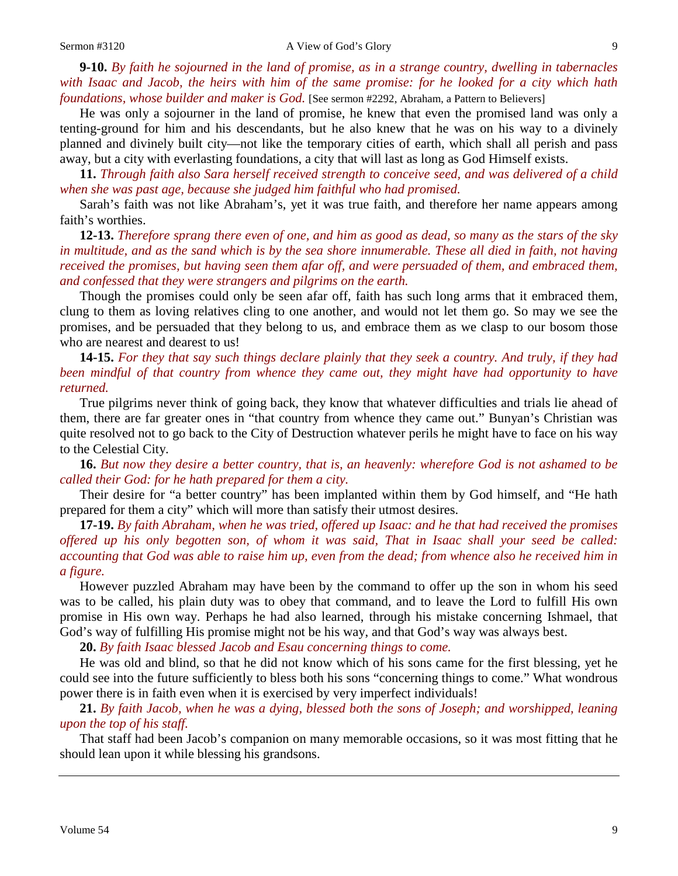**9-10.** *By faith he sojourned in the land of promise, as in a strange country, dwelling in tabernacles with Isaac and Jacob, the heirs with him of the same promise: for he looked for a city which hath foundations, whose builder and maker is God.* [See sermon #2292, Abraham, a Pattern to Believers]

He was only a sojourner in the land of promise, he knew that even the promised land was only a tenting-ground for him and his descendants, but he also knew that he was on his way to a divinely planned and divinely built city—not like the temporary cities of earth, which shall all perish and pass away, but a city with everlasting foundations, a city that will last as long as God Himself exists.

**11.** *Through faith also Sara herself received strength to conceive seed, and was delivered of a child when she was past age, because she judged him faithful who had promised.*

Sarah's faith was not like Abraham's, yet it was true faith, and therefore her name appears among faith's worthies.

**12-13.** *Therefore sprang there even of one, and him as good as dead, so many as the stars of the sky in multitude, and as the sand which is by the sea shore innumerable. These all died in faith, not having received the promises, but having seen them afar off, and were persuaded of them, and embraced them, and confessed that they were strangers and pilgrims on the earth.*

Though the promises could only be seen afar off, faith has such long arms that it embraced them, clung to them as loving relatives cling to one another, and would not let them go. So may we see the promises, and be persuaded that they belong to us, and embrace them as we clasp to our bosom those who are nearest and dearest to us!

**14-15.** *For they that say such things declare plainly that they seek a country. And truly, if they had been mindful of that country from whence they came out, they might have had opportunity to have returned.*

True pilgrims never think of going back, they know that whatever difficulties and trials lie ahead of them, there are far greater ones in "that country from whence they came out." Bunyan's Christian was quite resolved not to go back to the City of Destruction whatever perils he might have to face on his way to the Celestial City.

**16.** *But now they desire a better country, that is, an heavenly: wherefore God is not ashamed to be called their God: for he hath prepared for them a city.*

Their desire for "a better country" has been implanted within them by God himself, and "He hath prepared for them a city" which will more than satisfy their utmost desires.

**17-19.** *By faith Abraham, when he was tried, offered up Isaac: and he that had received the promises offered up his only begotten son, of whom it was said, That in Isaac shall your seed be called: accounting that God was able to raise him up, even from the dead; from whence also he received him in a figure.*

However puzzled Abraham may have been by the command to offer up the son in whom his seed was to be called, his plain duty was to obey that command, and to leave the Lord to fulfill His own promise in His own way. Perhaps he had also learned, through his mistake concerning Ishmael, that God's way of fulfilling His promise might not be his way, and that God's way was always best.

**20.** *By faith Isaac blessed Jacob and Esau concerning things to come.*

He was old and blind, so that he did not know which of his sons came for the first blessing, yet he could see into the future sufficiently to bless both his sons "concerning things to come." What wondrous power there is in faith even when it is exercised by very imperfect individuals!

**21.** *By faith Jacob, when he was a dying, blessed both the sons of Joseph; and worshipped, leaning upon the top of his staff.*

That staff had been Jacob's companion on many memorable occasions, so it was most fitting that he should lean upon it while blessing his grandsons.